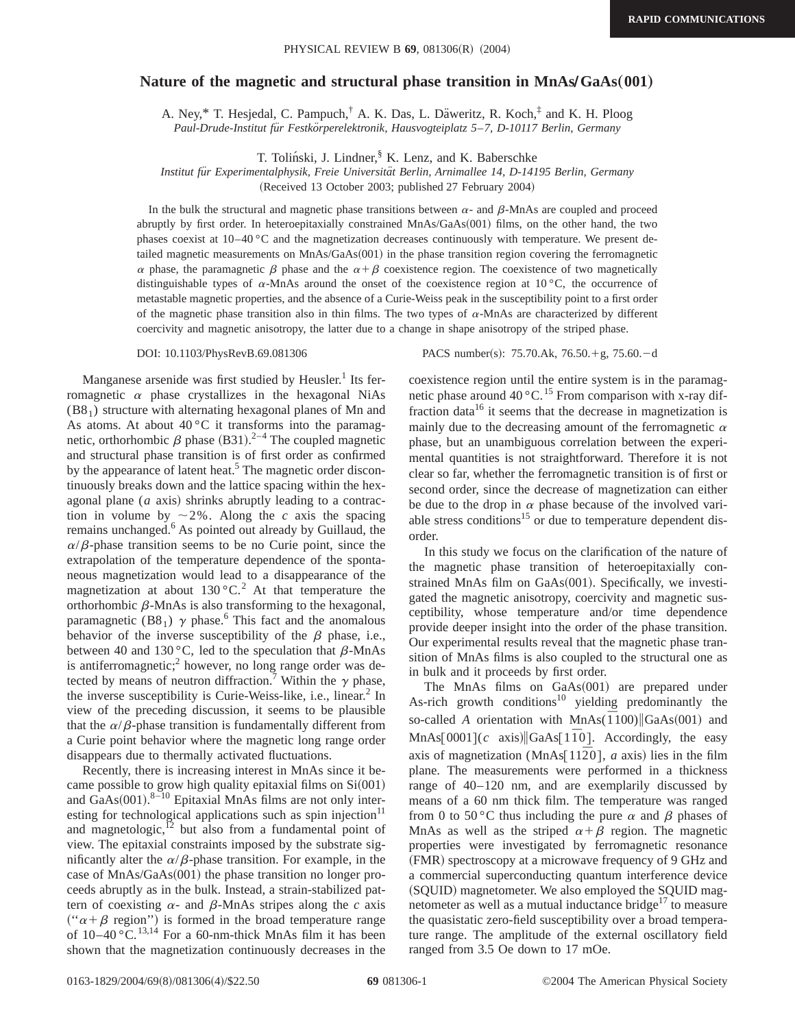## **Nature of the magnetic and structural phase transition in MnAs/GaAs(001)**

A. Ney, $*$  T. Hesjedal, C. Pampuch,<sup>†</sup> A. K. Das, L. Däweritz, R. Koch, $*$  and K. H. Ploog *Paul-Drude-Institut fu¨r Festko¨rperelektronik, Hausvogteiplatz 5*–*7, D-10117 Berlin, Germany*

T. Toliński, J. Lindner,<sup>§</sup> K. Lenz, and K. Baberschke

*Institut fu¨r Experimentalphysik, Freie Universita¨t Berlin, Arnimallee 14, D-14195 Berlin, Germany*

(Received 13 October 2003; published 27 February 2004)

In the bulk the structural and magnetic phase transitions between  $\alpha$ - and  $\beta$ -MnAs are coupled and proceed abruptly by first order. In heteroepitaxially constrained MnAs/GaAs(001) films, on the other hand, the two phases coexist at 10–40 °C and the magnetization decreases continuously with temperature. We present detailed magnetic measurements on MnAs/GaAs(001) in the phase transition region covering the ferromagnetic  $\alpha$  phase, the paramagnetic  $\beta$  phase and the  $\alpha + \beta$  coexistence region. The coexistence of two magnetically distinguishable types of  $\alpha$ -MnAs around the onset of the coexistence region at 10 °C, the occurrence of metastable magnetic properties, and the absence of a Curie-Weiss peak in the susceptibility point to a first order of the magnetic phase transition also in thin films. The two types of  $\alpha$ -MnAs are characterized by different coercivity and magnetic anisotropy, the latter due to a change in shape anisotropy of the striped phase.

Manganese arsenide was first studied by Heusler.<sup>1</sup> Its ferromagnetic  $\alpha$  phase crystallizes in the hexagonal NiAs  $(B8<sub>1</sub>)$  structure with alternating hexagonal planes of Mn and As atoms. At about  $40^{\circ}$ C it transforms into the paramagnetic, orthorhombic  $\beta$  phase (B31).<sup>2-4</sup> The coupled magnetic and structural phase transition is of first order as confirmed by the appearance of latent heat.<sup>5</sup> The magnetic order discontinuously breaks down and the lattice spacing within the hexagonal plane  $(a \text{ axis})$  shrinks abruptly leading to a contraction in volume by  $\sim 2\%$ . Along the *c* axis the spacing remains unchanged.<sup>6</sup> As pointed out already by Guillaud, the  $\alpha/\beta$ -phase transition seems to be no Curie point, since the extrapolation of the temperature dependence of the spontaneous magnetization would lead to a disappearance of the magnetization at about  $130\degree C$ .<sup>2</sup> At that temperature the orthorhombic  $\beta$ -MnAs is also transforming to the hexagonal, paramagnetic (B8<sub>1</sub>)  $\gamma$  phase.<sup>6</sup> This fact and the anomalous behavior of the inverse susceptibility of the  $\beta$  phase, i.e., between 40 and 130 $^{\circ}$ C, led to the speculation that  $\beta$ -MnAs is antiferromagnetic;<sup>2</sup> however, no long range order was detected by means of neutron diffraction.<sup>7</sup> Within the  $\gamma$  phase, the inverse susceptibility is Curie-Weiss-like, i.e., linear. $<sup>2</sup>$  In</sup> view of the preceding discussion, it seems to be plausible that the  $\alpha/\beta$ -phase transition is fundamentally different from a Curie point behavior where the magnetic long range order disappears due to thermally activated fluctuations.

Recently, there is increasing interest in MnAs since it became possible to grow high quality epitaxial films on  $Si(001)$ and  $GaAs(001).$ <sup>8-10</sup> Epitaxial MnAs films are not only interesting for technological applications such as spin injection $11$ and magnetologic, $^{12}$  but also from a fundamental point of view. The epitaxial constraints imposed by the substrate significantly alter the  $\alpha/\beta$ -phase transition. For example, in the case of  $MnAs/GaAs(001)$  the phase transition no longer proceeds abruptly as in the bulk. Instead, a strain-stabilized pattern of coexisting  $\alpha$ - and  $\beta$ -MnAs stripes along the *c* axis (" $\alpha + \beta$  region") is formed in the broad temperature range of  $10-40$  °C.<sup>13,14</sup> For a 60-nm-thick MnAs film it has been shown that the magnetization continuously decreases in the

DOI: 10.1103/PhysRevB.69.081306 PACS number(s): 75.70.Ak, 76.50.+g, 75.60.-d

coexistence region until the entire system is in the paramagnetic phase around  $40^{\circ}$ C.<sup>15</sup> From comparison with x-ray diffraction data<sup>16</sup> it seems that the decrease in magnetization is mainly due to the decreasing amount of the ferromagnetic  $\alpha$ phase, but an unambiguous correlation between the experimental quantities is not straightforward. Therefore it is not clear so far, whether the ferromagnetic transition is of first or second order, since the decrease of magnetization can either be due to the drop in  $\alpha$  phase because of the involved variable stress conditions<sup>15</sup> or due to temperature dependent disorder.

In this study we focus on the clarification of the nature of the magnetic phase transition of heteroepitaxially constrained MnAs film on  $GaAs(001)$ . Specifically, we investigated the magnetic anisotropy, coercivity and magnetic susceptibility, whose temperature and/or time dependence provide deeper insight into the order of the phase transition. Our experimental results reveal that the magnetic phase transition of MnAs films is also coupled to the structural one as in bulk and it proceeds by first order.

The MnAs films on  $GaAs(001)$  are prepared under As-rich growth conditions<sup>10</sup> yielding predominantly the so-called *A* orientation with MnAs( $\overline{1100}$ )|GaAs(001) and MnAs $[0001](c \text{ axis})$  $[GaAs[1\overline{1}0]$ . Accordingly, the easy axis of magnetization (MnAs[ $11\overline{2}0$ ], *a* axis) lies in the film plane. The measurements were performed in a thickness range of 40–120 nm, and are exemplarily discussed by means of a 60 nm thick film. The temperature was ranged from 0 to 50 °C thus including the pure  $\alpha$  and  $\beta$  phases of MnAs as well as the striped  $\alpha + \beta$  region. The magnetic properties were investigated by ferromagnetic resonance (FMR) spectroscopy at a microwave frequency of 9 GHz and a commercial superconducting quantum interference device (SQUID) magnetometer. We also employed the SQUID magnetometer as well as a mutual inductance bridge $17$  to measure the quasistatic zero-field susceptibility over a broad temperature range. The amplitude of the external oscillatory field ranged from 3.5 Oe down to 17 mOe.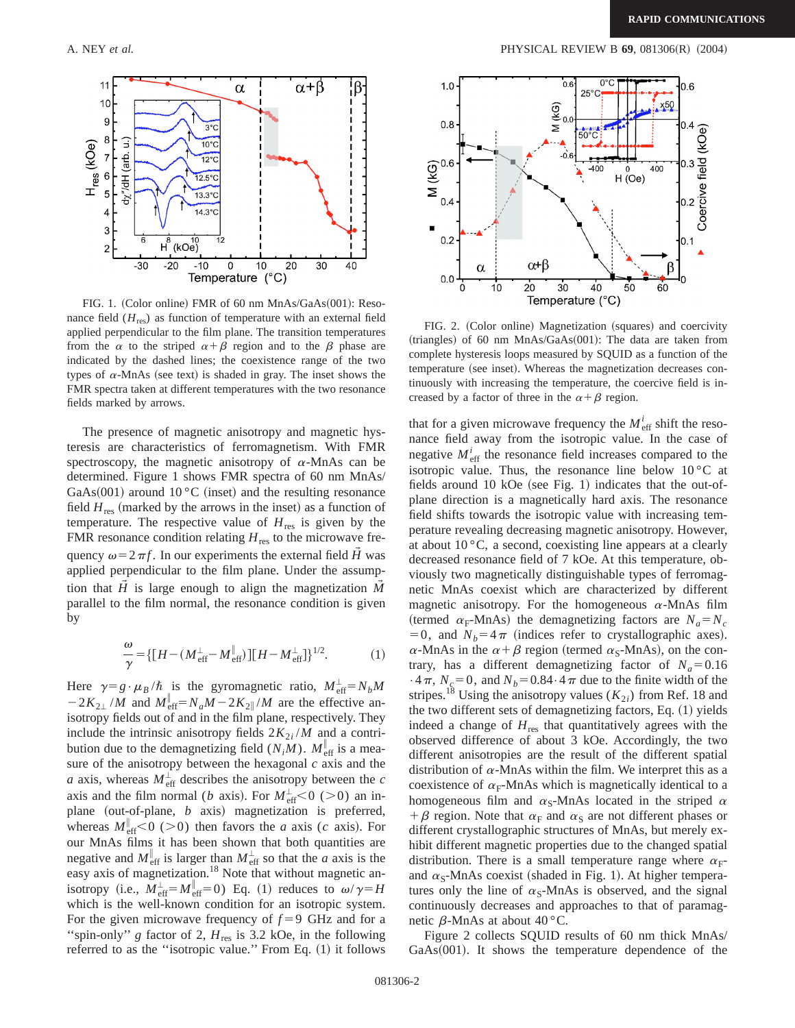

FIG. 1. (Color online) FMR of 60 nm MnAs/GaAs(001): Resonance field  $(H_{res})$  as function of temperature with an external field applied perpendicular to the film plane. The transition temperatures from the  $\alpha$  to the striped  $\alpha + \beta$  region and to the  $\beta$  phase are indicated by the dashed lines; the coexistence range of the two types of  $\alpha$ -MnAs (see text) is shaded in gray. The inset shows the FMR spectra taken at different temperatures with the two resonance fields marked by arrows.

The presence of magnetic anisotropy and magnetic hysteresis are characteristics of ferromagnetism. With FMR spectroscopy, the magnetic anisotropy of  $\alpha$ -MnAs can be determined. Figure 1 shows FMR spectra of 60 nm MnAs/ GaAs $(001)$  around 10 °C (inset) and the resulting resonance field  $H_{res}$  (marked by the arrows in the inset) as a function of temperature. The respective value of  $H_{\text{res}}$  is given by the FMR resonance condition relating  $H_{res}$  to the microwave frequency  $\omega = 2 \pi f$ . In our experiments the external field  $\tilde{H}$  was applied perpendicular to the film plane. Under the assumption that  $\tilde{H}$  is large enough to align the magnetization  $\tilde{M}$ parallel to the film normal, the resonance condition is given by

$$
\frac{\omega}{\gamma} = \{ [H - (M_{\text{eff}}^{\perp} - M_{\text{eff}}^{\parallel})][H - M_{\text{eff}}^{\perp}] \}^{1/2}.
$$
 (1)

Here  $\gamma = g \cdot \mu_B / \hbar$  is the gyromagnetic ratio,  $M_{\text{eff}}^{\perp} = N_b M$  $-2K_{2\perp}/M$  and  $M_{\text{eff}}^{\parallel} = N_a M - 2K_{2\parallel}/M$  are the effective anisotropy fields out of and in the film plane, respectively. They include the intrinsic anisotropy fields  $2K_{2i}/M$  and a contribution due to the demagnetizing field  $(N_iM)$ .  $M_{\text{eff}}^{\parallel}$  is a measure of the anisotropy between the hexagonal *c* axis and the *a* axis, whereas  $M_{\text{eff}}^{\perp}$  describes the anisotropy between the *c* axis and the film normal (*b* axis). For  $M_{\text{eff}}^{\perp}$  < 0 (> 0) an inplane (out-of-plane, *b* axis) magnetization is preferred, whereas  $M_{\text{eff}}^{\parallel} < 0$  (>0) then favors the *a* axis (*c* axis). For our MnAs films it has been shown that both quantities are negative and  $M_{\text{eff}}^{\parallel}$  is larger than  $M_{\text{eff}}^{\perp}$  so that the *a* axis is the easy axis of magnetization.<sup>18</sup> Note that without magnetic anisotropy (i.e.,  $M_{\text{eff}}^{\perp} = M_{\text{eff}}^{\parallel} = 0$ ) Eq. (1) reduces to  $\omega / \gamma = H$ which is the well-known condition for an isotropic system. For the given microwave frequency of  $f = 9$  GHz and for a "spin-only" *g* factor of 2,  $H_{res}$  is 3.2 kOe, in the following referred to as the "isotropic value." From Eq.  $(1)$  it follows



FIG. 2. (Color online) Magnetization (squares) and coercivity (triangles) of 60 nm MnAs/GaAs $(001)$ : The data are taken from complete hysteresis loops measured by SQUID as a function of the temperature (see inset). Whereas the magnetization decreases continuously with increasing the temperature, the coercive field is increased by a factor of three in the  $\alpha + \beta$  region.

that for a given microwave frequency the  $M_{\text{eff}}^i$  shift the resonance field away from the isotropic value. In the case of negative  $M_{\text{eff}}^i$  the resonance field increases compared to the isotropic value. Thus, the resonance line below  $10\degree C$  at fields around 10 kOe (see Fig. 1) indicates that the out-ofplane direction is a magnetically hard axis. The resonance field shifts towards the isotropic value with increasing temperature revealing decreasing magnetic anisotropy. However, at about  $10^{\circ}$ C, a second, coexisting line appears at a clearly decreased resonance field of 7 kOe. At this temperature, obviously two magnetically distinguishable types of ferromagnetic MnAs coexist which are characterized by different magnetic anisotropy. For the homogeneous  $\alpha$ -MnAs film (termed  $\alpha_F$ -MnAs) the demagnetizing factors are  $N_a = N_c$ =0, and  $N_b$ =4 $\pi$  (indices refer to crystallographic axes).  $\alpha$ -MnAs in the  $\alpha + \beta$  region (termed  $\alpha_s$ -MnAs), on the contrary, has a different demagnetizing factor of  $N_a=0.16$  $\cdot$  4 $\pi$ , *N<sub>c</sub>*=0, and *N<sub>b</sub>*=0.84 $\cdot$ 4 $\pi$  due to the finite width of the stripes.<sup>18</sup> Using the anisotropy values ( $K_{2i}$ ) from Ref. 18 and the two different sets of demagnetizing factors, Eq.  $(1)$  yields indeed a change of  $H_{res}$  that quantitatively agrees with the observed difference of about 3 kOe. Accordingly, the two different anisotropies are the result of the different spatial distribution of  $\alpha$ -MnAs within the film. We interpret this as a coexistence of  $\alpha_F$ -MnAs which is magnetically identical to a homogeneous film and  $\alpha_s$ -MnAs located in the striped  $\alpha$ +  $\beta$  region. Note that  $\alpha_F$  and  $\alpha_S$  are not different phases or different crystallographic structures of MnAs, but merely exhibit different magnetic properties due to the changed spatial distribution. There is a small temperature range where  $\alpha_F$ and  $\alpha_s$ -MnAs coexist (shaded in Fig. 1). At higher temperatures only the line of  $\alpha_s$ -MnAs is observed, and the signal continuously decreases and approaches to that of paramagnetic  $\beta$ -MnAs at about 40 °C.

Figure 2 collects SQUID results of 60 nm thick MnAs/  $GaAs(001)$ . It shows the temperature dependence of the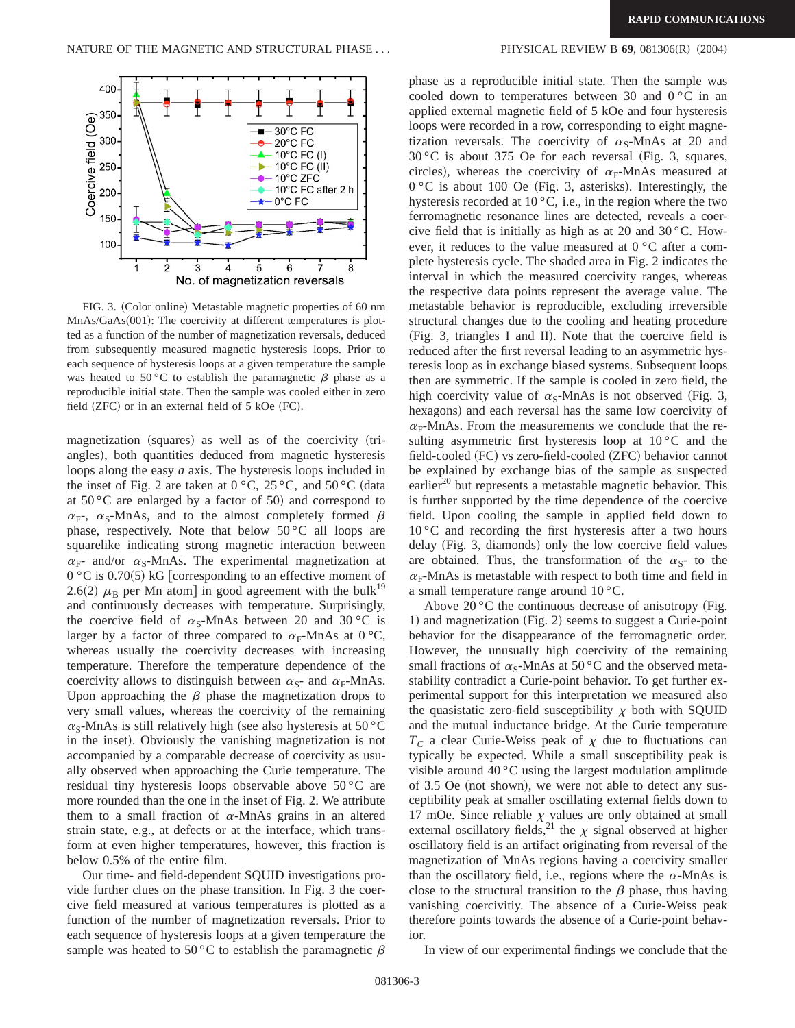

FIG. 3. (Color online) Metastable magnetic properties of 60 nm MnAs/GaAs(001): The coercivity at different temperatures is plotted as a function of the number of magnetization reversals, deduced from subsequently measured magnetic hysteresis loops. Prior to each sequence of hysteresis loops at a given temperature the sample was heated to 50 °C to establish the paramagnetic  $\beta$  phase as a reproducible initial state. Then the sample was cooled either in zero field  $(ZFC)$  or in an external field of 5 kOe  $(FC)$ .

magnetization (squares) as well as of the coercivity (triangles), both quantities deduced from magnetic hysteresis loops along the easy *a* axis. The hysteresis loops included in the inset of Fig. 2 are taken at  $0 °C$ ,  $25 °C$ , and  $50 °C$  (data at  $50^{\circ}$ C are enlarged by a factor of 50) and correspond to  $\alpha_{\rm F}$ ,  $\alpha_{\rm S}$ -MnAs, and to the almost completely formed  $\beta$ phase, respectively. Note that below  $50^{\circ}$ C all loops are squarelike indicating strong magnetic interaction between  $\alpha_{\rm F}$ - and/or  $\alpha_{\rm S}$ -MnAs. The experimental magnetization at  $0 °C$  is 0.70(5) kG [corresponding to an effective moment of 2.6(2)  $\mu_B$  per Mn atom] in good agreement with the bulk<sup>19</sup> and continuously decreases with temperature. Surprisingly, the coercive field of  $\alpha_s$ -MnAs between 20 and 30 °C is larger by a factor of three compared to  $\alpha_F$ -MnAs at 0 °C, whereas usually the coercivity decreases with increasing temperature. Therefore the temperature dependence of the coercivity allows to distinguish between  $\alpha_s$ - and  $\alpha_F$ -MnAs. Upon approaching the  $\beta$  phase the magnetization drops to very small values, whereas the coercivity of the remaining  $\alpha$ <sub>S</sub>-MnAs is still relatively high (see also hysteresis at 50 °C in the inset). Obviously the vanishing magnetization is not accompanied by a comparable decrease of coercivity as usually observed when approaching the Curie temperature. The residual tiny hysteresis loops observable above 50 °C are more rounded than the one in the inset of Fig. 2. We attribute them to a small fraction of  $\alpha$ -MnAs grains in an altered strain state, e.g., at defects or at the interface, which transform at even higher temperatures, however, this fraction is below 0.5% of the entire film.

Our time- and field-dependent SQUID investigations provide further clues on the phase transition. In Fig. 3 the coercive field measured at various temperatures is plotted as a function of the number of magnetization reversals. Prior to each sequence of hysteresis loops at a given temperature the sample was heated to 50 °C to establish the paramagnetic  $\beta$ 

phase as a reproducible initial state. Then the sample was cooled down to temperatures between 30 and 0 °C in an applied external magnetic field of 5 kOe and four hysteresis loops were recorded in a row, corresponding to eight magnetization reversals. The coercivity of  $\alpha_s$ -MnAs at 20 and  $30 °C$  is about 375 Oe for each reversal (Fig. 3, squares, circles), whereas the coercivity of  $\alpha_F$ -MnAs measured at  $0 °C$  is about 100 Oe (Fig. 3, asterisks). Interestingly, the hysteresis recorded at  $10^{\circ}$ C, i.e., in the region where the two ferromagnetic resonance lines are detected, reveals a coercive field that is initially as high as at 20 and 30 °C. However, it reduces to the value measured at 0 °C after a complete hysteresis cycle. The shaded area in Fig. 2 indicates the interval in which the measured coercivity ranges, whereas the respective data points represent the average value. The metastable behavior is reproducible, excluding irreversible structural changes due to the cooling and heating procedure  $(Fig. 3, triangles I and II).$  Note that the coercive field is reduced after the first reversal leading to an asymmetric hysteresis loop as in exchange biased systems. Subsequent loops then are symmetric. If the sample is cooled in zero field, the high coercivity value of  $\alpha_s$ -MnAs is not observed (Fig. 3, hexagons) and each reversal has the same low coercivity of  $\alpha_F$ -MnAs. From the measurements we conclude that the resulting asymmetric first hysteresis loop at 10 °C and the field-cooled (FC) vs zero-field-cooled (ZFC) behavior cannot be explained by exchange bias of the sample as suspected earlier $^{20}$  but represents a metastable magnetic behavior. This is further supported by the time dependence of the coercive field. Upon cooling the sample in applied field down to  $10\degree$ C and recording the first hysteresis after a two hours delay (Fig. 3, diamonds) only the low coercive field values are obtained. Thus, the transformation of the  $\alpha_s$ - to the  $\alpha_F$ -MnAs is metastable with respect to both time and field in a small temperature range around 10 °C.

Above  $20^{\circ}$ C the continuous decrease of anisotropy (Fig. 1) and magnetization (Fig. 2) seems to suggest a Curie-point behavior for the disappearance of the ferromagnetic order. However, the unusually high coercivity of the remaining small fractions of  $\alpha_s$ -MnAs at 50 °C and the observed metastability contradict a Curie-point behavior. To get further experimental support for this interpretation we measured also the quasistatic zero-field susceptibility  $\chi$  both with SQUID and the mutual inductance bridge. At the Curie temperature  $T_c$  a clear Curie-Weiss peak of  $\chi$  due to fluctuations can typically be expected. While a small susceptibility peak is visible around  $40^{\circ}$ C using the largest modulation amplitude of 3.5 Oe (not shown), we were not able to detect any susceptibility peak at smaller oscillating external fields down to 17 mOe. Since reliable  $\chi$  values are only obtained at small external oscillatory fields,<sup>21</sup> the  $\chi$  signal observed at higher oscillatory field is an artifact originating from reversal of the magnetization of MnAs regions having a coercivity smaller than the oscillatory field, i.e., regions where the  $\alpha$ -MnAs is close to the structural transition to the  $\beta$  phase, thus having vanishing coercivitiy. The absence of a Curie-Weiss peak therefore points towards the absence of a Curie-point behavior.

In view of our experimental findings we conclude that the